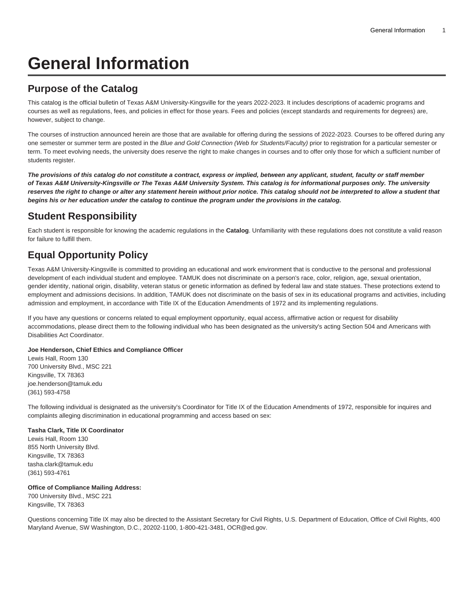# **General Information**

### **Purpose of the Catalog**

This catalog is the official bulletin of Texas A&M University-Kingsville for the years 2022-2023. It includes descriptions of academic programs and courses as well as regulations, fees, and policies in effect for those years. Fees and policies (except standards and requirements for degrees) are, however, subject to change.

The courses of instruction announced herein are those that are available for offering during the sessions of 2022-2023. Courses to be offered during any one semester or summer term are posted in the Blue and Gold Connection (Web for Students/Faculty) prior to registration for a particular semester or term. To meet evolving needs, the university does reserve the right to make changes in courses and to offer only those for which a sufficient number of students register.

**The provisions of this catalog do not constitute a contract, express or implied, between any applicant, student, faculty or staff member of Texas A&M University-Kingsville or The Texas A&M University System. This catalog is for informational purposes only. The university reserves the right to change or alter any statement herein without prior notice. This catalog should not be interpreted to allow a student that begins his or her education under the catalog to continue the program under the provisions in the catalog.**

## **Student Responsibility**

Each student is responsible for knowing the academic regulations in the **Catalog**. Unfamiliarity with these regulations does not constitute a valid reason for failure to fulfill them.

## **Equal Opportunity Policy**

Texas A&M University-Kingsville is committed to providing an educational and work environment that is conductive to the personal and professional development of each individual student and employee. TAMUK does not discriminate on a person's race, color, religion, age, sexual orientation, gender identity, national origin, disability, veteran status or genetic information as defined by federal law and state statues. These protections extend to employment and admissions decisions. In addition, TAMUK does not discriminate on the basis of sex in its educational programs and activities, including admission and employment, in accordance with Title IX of the Education Amendments of 1972 and its implementing regulations.

If you have any questions or concerns related to equal employment opportunity, equal access, affirmative action or request for disability accommodations, please direct them to the following individual who has been designated as the university's acting Section 504 and Americans with Disabilities Act Coordinator.

#### **Joe Henderson, Chief Ethics and Compliance Officer**

Lewis Hall, Room 130 700 University Blvd., MSC 221 Kingsville, TX 78363 [joe.henderson@tamuk.edu](mailto:joe.henderson@tamuk.edu) (361) 593-4758

The following individual is designated as the university's Coordinator for Title IX of the Education Amendments of 1972, responsible for inquires and complaints alleging discrimination in educational programming and access based on sex:

#### **Tasha Clark, Title IX Coordinator**

Lewis Hall, Room 130 855 North University Blvd. Kingsville, TX 78363 [tasha.clark@tamuk.edu](mailto:tasha.clark@tamuk.edu) (361) 593-4761

#### **Office of Compliance Mailing Address:**

700 University Blvd., MSC 221 Kingsville, TX 78363

Questions concerning Title IX may also be directed to the Assistant Secretary for Civil Rights, U.S. Department of Education, Office of Civil Rights, 400 Maryland Avenue, SW Washington, D.C., 20202-1100, 1-800-421-3481, [OCR@ed.gov](mailto:OCR@ed.gov).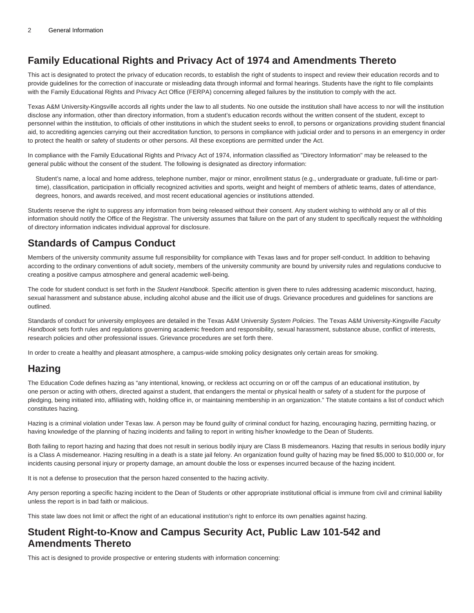## **Family Educational Rights and Privacy Act of 1974 and Amendments Thereto**

This act is designated to protect the privacy of education records, to establish the right of students to inspect and review their education records and to provide guidelines for the correction of inaccurate or misleading data through informal and formal hearings. Students have the right to file complaints with the Family Educational Rights and Privacy Act Office (FERPA) concerning alleged failures by the institution to comply with the act.

Texas A&M University-Kingsville accords all rights under the law to all students. No one outside the institution shall have access to nor will the institution disclose any information, other than directory information, from a student's education records without the written consent of the student, except to personnel within the institution, to officials of other institutions in which the student seeks to enroll, to persons or organizations providing student financial aid, to accrediting agencies carrying out their accreditation function, to persons in compliance with judicial order and to persons in an emergency in order to protect the health or safety of students or other persons. All these exceptions are permitted under the Act.

In compliance with the Family Educational Rights and Privacy Act of 1974, information classified as "Directory Information" may be released to the general public without the consent of the student. The following is designated as directory information:

Student's name, a local and home address, telephone number, major or minor, enrollment status (e.g., undergraduate or graduate, full-time or parttime), classification, participation in officially recognized activities and sports, weight and height of members of athletic teams, dates of attendance, degrees, honors, and awards received, and most recent educational agencies or institutions attended.

Students reserve the right to suppress any information from being released without their consent. Any student wishing to withhold any or all of this information should notify the Office of the Registrar. The university assumes that failure on the part of any student to specifically request the withholding of directory information indicates individual approval for disclosure.

### **Standards of Campus Conduct**

Members of the university community assume full responsibility for compliance with Texas laws and for proper self-conduct. In addition to behaving according to the ordinary conventions of adult society, members of the university community are bound by university rules and regulations conducive to creating a positive campus atmosphere and general academic well-being.

The code for student conduct is set forth in the Student Handbook. Specific attention is given there to rules addressing academic misconduct, hazing, sexual harassment and substance abuse, including alcohol abuse and the illicit use of drugs. Grievance procedures and guidelines for sanctions are outlined.

Standards of conduct for university employees are detailed in the Texas A&M University System Policies. The Texas A&M University-Kingsville Faculty Handbook sets forth rules and regulations governing academic freedom and responsibility, sexual harassment, substance abuse, conflict of interests, research policies and other professional issues. Grievance procedures are set forth there.

In order to create a healthy and pleasant atmosphere, a campus-wide smoking policy designates only certain areas for smoking.

#### **Hazing**

The Education Code defines hazing as "any intentional, knowing, or reckless act occurring on or off the campus of an educational institution, by one person or acting with others, directed against a student, that endangers the mental or physical health or safety of a student for the purpose of pledging, being initiated into, affiliating with, holding office in, or maintaining membership in an organization." The statute contains a list of conduct which constitutes hazing.

Hazing is a criminal violation under Texas law. A person may be found guilty of criminal conduct for hazing, encouraging hazing, permitting hazing, or having knowledge of the planning of hazing incidents and failing to report in writing his/her knowledge to the Dean of Students.

Both failing to report hazing and hazing that does not result in serious bodily injury are Class B misdemeanors. Hazing that results in serious bodily injury is a Class A misdemeanor. Hazing resulting in a death is a state jail felony. An organization found guilty of hazing may be fined \$5,000 to \$10,000 or, for incidents causing personal injury or property damage, an amount double the loss or expenses incurred because of the hazing incident.

It is not a defense to prosecution that the person hazed consented to the hazing activity.

Any person reporting a specific hazing incident to the Dean of Students or other appropriate institutional official is immune from civil and criminal liability unless the report is in bad faith or malicious.

This state law does not limit or affect the right of an educational institution's right to enforce its own penalties against hazing.

#### **Student Right-to-Know and Campus Security Act, Public Law 101-542 and Amendments Thereto**

This act is designed to provide prospective or entering students with information concerning: